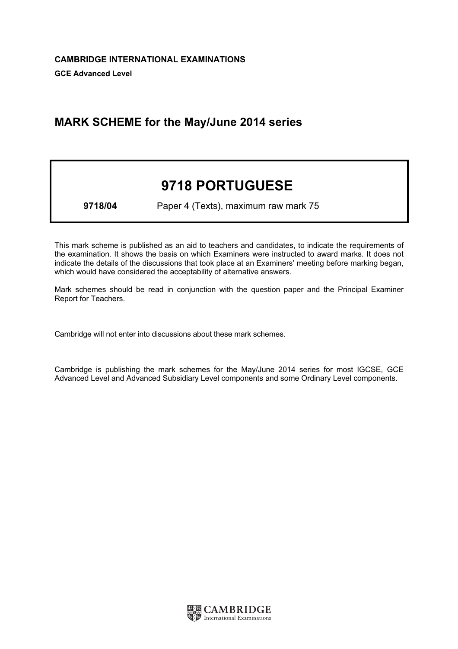## MARK SCHEME for the May/June 2014 series

## 9718 PORTUGUESE

9718/04 Paper 4 (Texts), maximum raw mark 75

This mark scheme is published as an aid to teachers and candidates, to indicate the requirements of the examination. It shows the basis on which Examiners were instructed to award marks. It does not indicate the details of the discussions that took place at an Examiners' meeting before marking began, which would have considered the acceptability of alternative answers.

Mark schemes should be read in conjunction with the question paper and the Principal Examiner Report for Teachers.

Cambridge will not enter into discussions about these mark schemes.

Cambridge is publishing the mark schemes for the May/June 2014 series for most IGCSE, GCE Advanced Level and Advanced Subsidiary Level components and some Ordinary Level components.